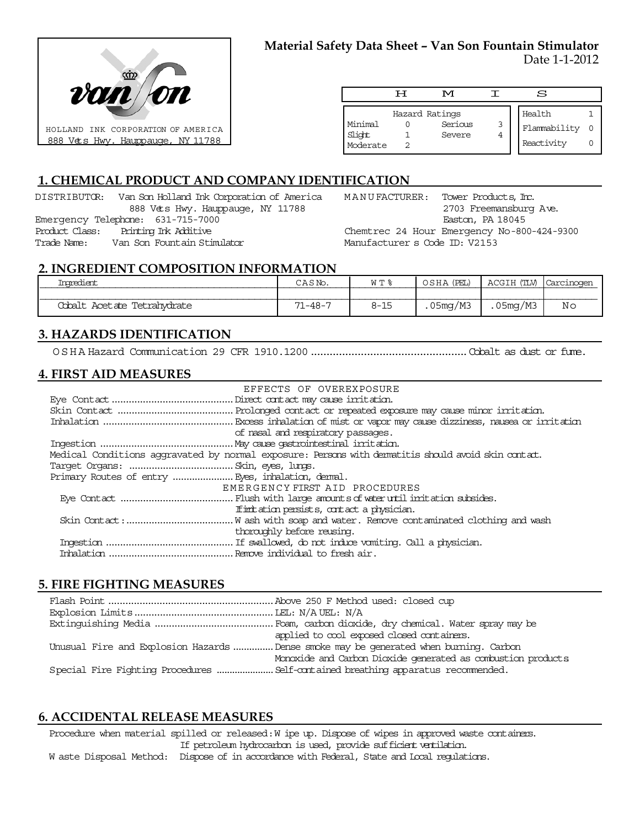

|                               | ਸ | M                                   |        | S                                    |  |
|-------------------------------|---|-------------------------------------|--------|--------------------------------------|--|
| Minimal<br>Slight<br>Moderate |   | Hazard Ratings<br>Serious<br>Severe | 3<br>4 | Health<br>Flammability<br>Reactivity |  |

## **1. CHEMICAL PRODUCT AND COMPANY IDENTIFICATION**

DISTRIBUTOR: Van Son Holland Ink Corporation of America 888 Vets Hwy. Hauppauge, NY 11788 Emergency Telephone: 631-715-7000 Product Class: Printing Ink Additive Trade Name: Van Son Fountain Stimulator

MANUFACTURER: Tower Products, Inc. 2703 Freemansburg Ave. Easton, PA 18045 Chemtrec 24 Hour Emergency No-800-424-9300

Manufacturer s Code ID: V2153

### **2. INGREDIENT COMPOSITION INFORMATION**

| <u>inaredient</u>              | CASM          | $M$ $T$ $\approx$ | (PET.)  | ACGIH (TIM<br>----- |    |
|--------------------------------|---------------|-------------------|---------|---------------------|----|
|                                |               |                   |         |                     |    |
| Acetate Tetrahydrate<br>Cobalt | $71 - 48 - 7$ | $8 - 15$          | 05mg/M3 | .05mg/M3            | Νo |

## **3. HAZARDS IDENTIFICATION**

OSHA Hazard Communication 29 CFR 1910.1200..................................................Cobalt as dust or fume.

# **4. FIRST AID MEASURES**

| EFFECTS OF OVEREXPOSURE                                                                            |
|----------------------------------------------------------------------------------------------------|
|                                                                                                    |
|                                                                                                    |
|                                                                                                    |
| of nasal and respiratory passages.                                                                 |
|                                                                                                    |
| Medical Conditions aggravated by normal exposure: Persons with dematitis should avoid skin contat. |
|                                                                                                    |
|                                                                                                    |
| EMERGENCY FIRST AID PROCEDURES                                                                     |
|                                                                                                    |
| If initiation persists, contact a physician.                                                       |
|                                                                                                    |
| thoroughly before reusing.                                                                         |
|                                                                                                    |
|                                                                                                    |

## **5. FIRE FIGHTING MEASURES**

| applied to cool exposed closed containers.                                            |
|---------------------------------------------------------------------------------------|
| Unusual Fire and Explosion Hazards  Dense smoke may be generated when burning. Carbon |
| Monoxide and Carbon Dioxide generated as combustion products                          |
|                                                                                       |

## **6. ACCIDENTAL RELEASE MEASURES**

Procedure when material spilled or released: W ipe up. Dispose of wipes in approved waste containers. If petroleum hydrocarbon is used, provide sufficient ventilation. W aste Disposal Method: Dispose of in accordance with Federal, State and Local regulations.